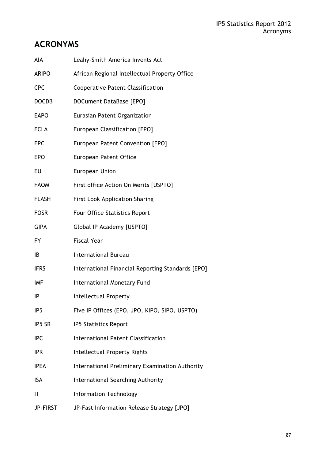# **ACRONYMS**

| AIA             | Leahy-Smith America Invents Act                   |
|-----------------|---------------------------------------------------|
| <b>ARIPO</b>    | African Regional Intellectual Property Office     |
| <b>CPC</b>      | <b>Cooperative Patent Classification</b>          |
| <b>DOCDB</b>    | DOCument DataBase [EPO]                           |
| <b>EAPO</b>     | Eurasian Patent Organization                      |
| <b>ECLA</b>     | European Classification [EPO]                     |
| <b>EPC</b>      | European Patent Convention [EPO]                  |
| <b>EPO</b>      | <b>European Patent Office</b>                     |
| EU              | <b>European Union</b>                             |
| <b>FAOM</b>     | First office Action On Merits [USPTO]             |
| <b>FLASH</b>    | <b>First Look Application Sharing</b>             |
| <b>FOSR</b>     | Four Office Statistics Report                     |
| <b>GIPA</b>     | Global IP Academy [USPTO]                         |
| <b>FY</b>       | <b>Fiscal Year</b>                                |
| IB              | <b>International Bureau</b>                       |
| <b>IFRS</b>     | International Financial Reporting Standards [EPO] |
| <b>IMF</b>      | International Monetary Fund                       |
| IP              | Intellectual Property                             |
| IP <sub>5</sub> | Five IP Offices (EPO, JPO, KIPO, SIPO, USPTO)     |
| IP5 SR          | <b>IP5 Statistics Report</b>                      |
| <b>IPC</b>      | International Patent Classification               |
| <b>IPR</b>      | <b>Intellectual Property Rights</b>               |
| <b>IPEA</b>     | International Preliminary Examination Authority   |
| <b>ISA</b>      | International Searching Authority                 |
| IT              | <b>Information Technology</b>                     |
| JP-FIRST        | JP-Fast Information Release Strategy [JPO]        |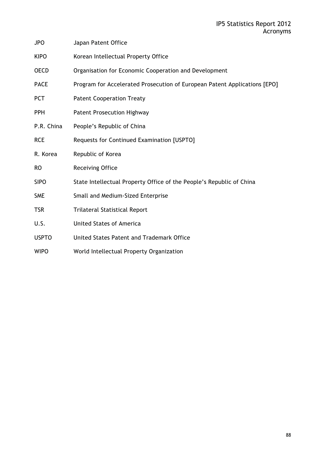| <b>JPO</b>   | Japan Patent Office                                                       |
|--------------|---------------------------------------------------------------------------|
| <b>KIPO</b>  | Korean Intellectual Property Office                                       |
| <b>OECD</b>  | Organisation for Economic Cooperation and Development                     |
| <b>PACE</b>  | Program for Accelerated Prosecution of European Patent Applications [EPO] |
| <b>PCT</b>   | <b>Patent Cooperation Treaty</b>                                          |
| <b>PPH</b>   | <b>Patent Prosecution Highway</b>                                         |
| P.R. China   | People's Republic of China                                                |
| <b>RCE</b>   | Requests for Continued Examination [USPTO]                                |
| R. Korea     | Republic of Korea                                                         |
| <b>RO</b>    | <b>Receiving Office</b>                                                   |
| <b>SIPO</b>  | State Intellectual Property Office of the People's Republic of China      |
| <b>SME</b>   | Small and Medium-Sized Enterprise                                         |
| <b>TSR</b>   | <b>Trilateral Statistical Report</b>                                      |
| U.S.         | <b>United States of America</b>                                           |
| <b>USPTO</b> | United States Patent and Trademark Office                                 |
| <b>WIPO</b>  | World Intellectual Property Organization                                  |